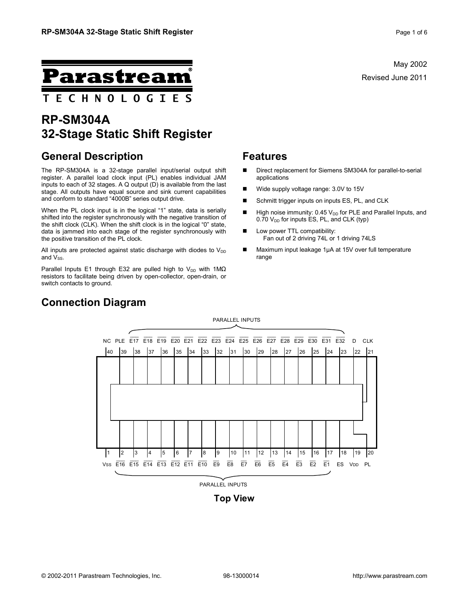May 2002 Revised June 2011



# **RP-SM304A 32-Stage Static Shift Register**

### **General Description**

The RP-SM304A is a 32-stage parallel input/serial output shift register. A parallel load clock input (PL) enables individual JAM inputs to each of 32 stages. A Q output (D) is available from the last stage. All outputs have equal source and sink current capabilities and conform to standard "4000B" series output drive.

When the PL clock input is in the logical "1" state, data is serially shifted into the register synchronously with the negative transition of the shift clock (CLK). When the shift clock is in the logical "0" state, data is jammed into each stage of the register synchronously with the positive transition of the PL clock.

All inputs are protected against static discharge with diodes to  $V_{DD}$ and  $V_{SS}$ .

Parallel Inputs E1 through E32 are pulled high to V<sub>DD</sub> with 1M $\Omega$ resistors to facilitate being driven by open-collector, open-drain, or switch contacts to ground.

#### **Features**

- Direct replacement for Siemens SM304A for parallel-to-serial applications
- Wide supply voltage range: 3.0V to 15V
- Schmitt trigger inputs on inputs ES, PL, and CLK
- High noise immunity:  $0.45 V_{DD}$  for PLE and Parallel Inputs, and  $0.70$  V<sub>DD</sub> for inputs ES, PL, and CLK (typ)
- **Low power TTL compatibility:** Fan out of 2 driving 74L or 1 driving 74LS
- Maximum input leakage 1µA at 15V over full temperature range



## **Connection Diagram**

**Top View**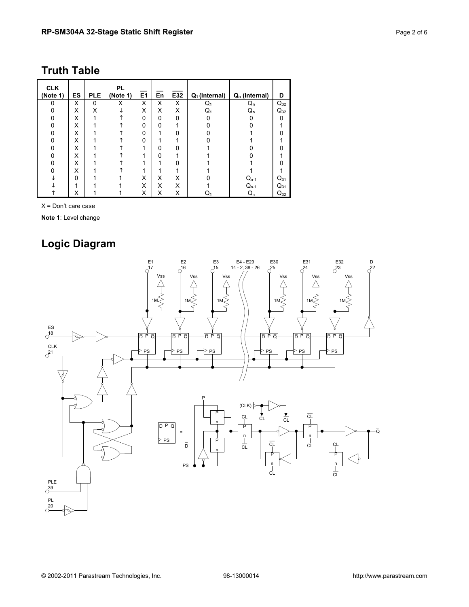# **Truth Table**

| <b>CLK</b><br>(Note 1) | ES       | <b>PLE</b> | <b>PL</b><br>(Note 1) | E1 | En       | E32 | $Q_1$ (Internal) | Q <sub>n</sub> (Internal) | D        |
|------------------------|----------|------------|-----------------------|----|----------|-----|------------------|---------------------------|----------|
| $\Omega$               | X        | 0          | X                     | X  | X        | X   | $Q_1$            | $Q_{n}$                   | $Q_{32}$ |
|                        | X        | X          |                       | X  | X        | X   | Q1               | $\mathsf{Q}_\mathsf{n}$   | $Q_{32}$ |
|                        | X        |            |                       | 0  | $\Omega$ | 0   |                  |                           |          |
|                        | X        |            |                       | 0  | 0        |     |                  |                           |          |
|                        | X        |            |                       | 0  | 1        | ი   |                  |                           |          |
|                        | X        |            |                       | 0  | 4        |     |                  |                           |          |
|                        | X        |            |                       |    | 0        |     |                  |                           |          |
|                        | X        |            |                       |    | 0        |     |                  |                           |          |
|                        | X        |            |                       |    |          |     |                  |                           |          |
|                        | X        |            |                       |    |          |     |                  |                           |          |
|                        | $\Omega$ |            |                       | X  | X        | X   |                  | $Q_{n-1}$                 | $Q_{31}$ |
|                        | 4        |            |                       | X  | X        | X   |                  | $Q_{n-1}$                 | $Q_{31}$ |
|                        | x        |            |                       | х  | х        | х   | Q1               | $\mathsf{Q}_\mathsf{n}$   | $Q_{32}$ |

X = Don't care case

**Note 1**: Level change

# **Logic Diagram**

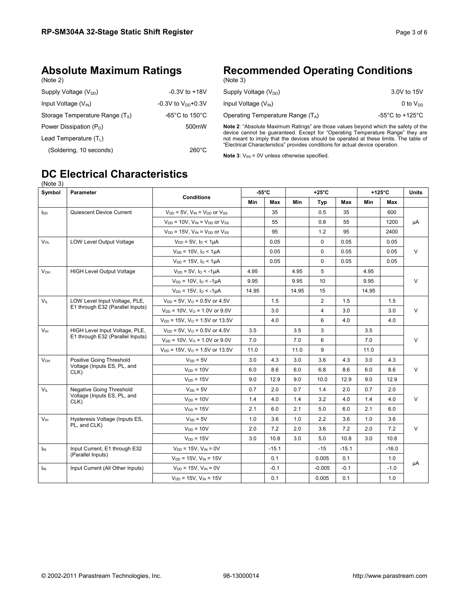## **Absolute Maximum Ratings**

| (Note |  |
|-------|--|
|-------|--|

| <b>Recommended Operating Conditions</b> |  |
|-----------------------------------------|--|
| (Note 3)                                |  |

| Supply Voltage $(V_{DD})$        | $-0.3V$ to $+18V$                    |
|----------------------------------|--------------------------------------|
| Input Voltage $(V_{\text{IN}})$  | $-0.3V$ to $V_{\text{DD}}$ +0.3V     |
| Storage Temperature Range $(Ts)$ | -65 $^{\circ}$ C to 150 $^{\circ}$ C |
| Power Dissipation $(P_D)$        | 500mW                                |
| Lead Temperature $(T_L)$         |                                      |
| (Soldering, 10 seconds)          | $260^{\circ}$ C                      |
|                                  |                                      |

| Supply Voltage $(V_{DD})$           | 3.0V to 15V                           |
|-------------------------------------|---------------------------------------|
| Input Voltage $(V_{\text{IN}})$     | 0 to $V_{DD}$                         |
| Operating Temperature Range $(T_A)$ | -55 $^{\circ}$ C to +125 $^{\circ}$ C |

**Note 2**: "Absolute Maximum Ratings" are those values beyond which the safety of the device cannot be guaranteed. Except for "Operating Temperature Range" they are not meant to imply that the devices should be operated at these limits. The table of "Electrical Characteristics" provides conditions for actual device operation.

**Note 3**:  $V_{SS}$  = 0V unless otherwise specified.

#### **DC Electrical Characteristics**  (Note 3)

| Symbol                  | <b>Parameter</b>                    |                                                 | $-55^{\circ}$ C |         | $+25^{\circ}$ C |                |         | $+125^{\circ}$ C |         | <b>Units</b> |  |
|-------------------------|-------------------------------------|-------------------------------------------------|-----------------|---------|-----------------|----------------|---------|------------------|---------|--------------|--|
|                         |                                     | <b>Conditions</b>                               | Min             | Max     | Min             | Typ            | Max     | Min              | Max     |              |  |
| <b>l</b> <sub>DD</sub>  | Quiescent Device Current            | $V_{DD}$ = 5V, $V_{IN}$ = $V_{DD}$ or $V_{SS}$  |                 | 35      |                 | 0.5            | 35      |                  | 600     |              |  |
|                         |                                     | $V_{DD}$ = 10V. $V_{IN}$ = $V_{DD}$ or $V_{SS}$ |                 | 55      |                 | 0.8            | 55      |                  | 1200    | μA           |  |
|                         |                                     | $V_{DD}$ = 15V, $V_{IN}$ = $V_{DD}$ or $V_{SS}$ |                 | 95      |                 | 1.2            | 95      |                  | 2400    |              |  |
| $\mathsf{V}\mathsf{ol}$ | <b>LOW Level Output Voltage</b>     | $V_{DD} = 5V$ , $I_0 < 1 \mu A$                 |                 | 0.05    |                 | $\mathbf 0$    | 0.05    |                  | 0.05    |              |  |
|                         |                                     | $V_{DD} = 10V$ , $I_0 \le 1 \mu A$              |                 | 0.05    |                 | $\mathbf 0$    | 0.05    |                  | 0.05    | V            |  |
|                         |                                     | $V_{DD} = 15V$ , $I_{O} < 1 \mu A$              |                 | 0.05    |                 | $\mathbf 0$    | 0.05    |                  | 0.05    |              |  |
| <b>V<sub>OH</sub></b>   | <b>HIGH Level Output Voltage</b>    | $V_{DD} = 5V$ , $I_0 < -1$ uA                   | 4.95            |         | 4.95            | 5              |         | 4.95             |         |              |  |
|                         |                                     | $V_{DD} = 10V$ , $I_0 < -1 \mu A$               | 9.95            |         | 9.95            | 10             |         | 9.95             |         | $\vee$       |  |
|                         |                                     | $V_{DD} = 15V$ , $I_0 < -1 \mu A$               | 14.95           |         | 14.95           | 15             |         | 14.95            |         |              |  |
| $V_{\parallel}$         | LOW Level Input Voltage, PLE,       | $V_{DD}$ = 5V, $V_{O}$ = 0.5V or 4.5V           |                 | 1.5     |                 | $\overline{2}$ | 1.5     |                  | 1.5     |              |  |
|                         | E1 through E32 (Parallel Inputs)    | $V_{DD} = 10V$ , $V_O = 1.0V$ or 9.0V           |                 | 3.0     |                 | $\overline{4}$ | 3.0     |                  | 3.0     | $\vee$       |  |
|                         |                                     | $V_{DD}$ = 15V, $V_{O}$ = 1.5V or 13.5V         |                 | 4.0     |                 | 6              | 4.0     |                  | 4.0     |              |  |
| V <sub>IH</sub>         | HIGH Level Input Voltage, PLE,      | $V_{DD} = 5V$ , $V_{O} = 0.5V$ or 4.5V          | 3.5             |         | 3.5             | 3              |         | 3.5              |         |              |  |
|                         | E1 through E32 (Parallel Inputs)    | $V_{DD}$ = 10V, $V_{O}$ = 1.0V or 9.0V          | 7.0             |         | 7.0             | 6              |         | 7.0              |         | $\vee$       |  |
|                         |                                     | $V_{DD}$ = 15V, $V_{O}$ = 1.5V or 13.5V         | 11.0            |         | 11.0            | 9              |         | 11.0             |         |              |  |
| <b>V<sub>OH</sub></b>   | Positive Going Threshold            | $V_{DD} = 5V$                                   | 3.0             | 4.3     | 3.0             | 3.6            | 4.3     | 3.0              | 4.3     |              |  |
|                         | Voltage (Inputs ES, PL, and<br>CLK) | $V_{DD} = 10V$                                  | 6.0             | 8.6     | 6.0             | 6.8            | 8.6     | 6.0              | 8.6     | V            |  |
|                         |                                     | $V_{DD} = 15V$                                  | 9.0             | 12.9    | 9.0             | 10.0           | 12.9    | 9.0              | 12.9    |              |  |
| $V_{IL}$                | Negative Going Threshold            | $V_{DD} = 5V$                                   | 0.7             | 2.0     | 0.7             | 1.4            | 2.0     | 0.7              | 2.0     |              |  |
|                         | Voltage (Inputs ES, PL, and<br>CLK) | $V_{DD} = 10V$                                  | 1.4             | 4.0     | 1.4             | 3.2            | 4.0     | 1.4              | 4.0     | $\vee$       |  |
|                         |                                     | $V_{DD} = 15V$                                  | 2.1             | 6.0     | 2.1             | 5.0            | 6.0     | 2.1              | 6.0     |              |  |
| V <sub>IH</sub>         | Hysteresis Voltage (Inputs ES,      | $V_{DD} = 5V$                                   | 1.0             | 3.6     | 1.0             | 2.2            | 3.6     | 1.0              | 3.6     |              |  |
|                         | PL, and CLK)                        | $V_{DD} = 10V$                                  | 2.0             | 7.2     | 2.0             | 3.6            | 7.2     | 2.0              | 7.2     | $\vee$       |  |
|                         |                                     | $V_{DD} = 15V$                                  | 3.0             | 10.8    | 3.0             | 5.0            | 10.8    | 3.0              | 10.8    |              |  |
| $I_{IN}$                | Input Current, E1 through E32       | $V_{DD} = 15V$ , $V_{IN} = 0V$                  |                 | $-15.1$ |                 | $-15$          | $-15.1$ |                  | $-16.0$ |              |  |
|                         | (Parallel Inputs)                   | $V_{DD} = 15V$ , $V_{IN} = 15V$                 |                 | 0.1     |                 | 0.005          | 0.1     |                  | 1.0     |              |  |
| I <sub>IN</sub>         | Input Current (All Other Inputs)    | $V_{DD} = 15V$ , $V_{IN} = 0V$                  |                 | $-0.1$  |                 | $-0.005$       | $-0.1$  |                  | $-1.0$  | μA           |  |
|                         |                                     | $V_{DD} = 15V$ , $V_{IN} = 15V$                 |                 | 0.1     |                 | 0.005          | 0.1     |                  | 1.0     |              |  |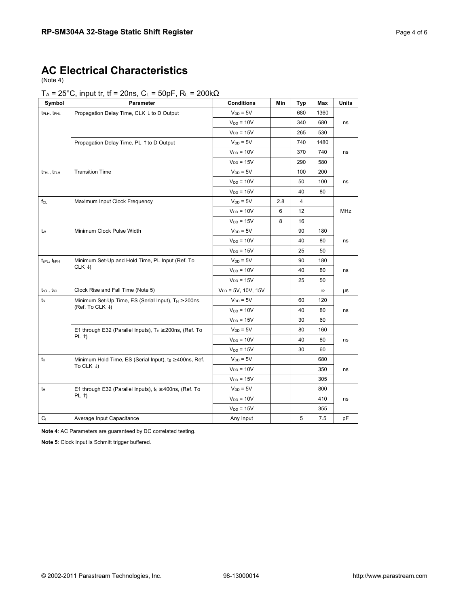### **AC Electrical Characteristics**

(Note 4)

#### T<sub>A</sub> = 25°C, input tr, tf = 20ns, C<sub>L</sub> = 50pF, R<sub>L</sub> = 200k $\Omega$

| Symbol                              | Parameter                                                          | <b>Conditions</b>       | Min | <b>Typ</b> | Max      | <b>Units</b> |
|-------------------------------------|--------------------------------------------------------------------|-------------------------|-----|------------|----------|--------------|
| t <sub>PLH</sub> , t <sub>PHL</sub> | Propagation Delay Time, CLK $\downarrow$ to D Output               | $V_{DD} = 5V$           |     | 680        | 1360     |              |
|                                     |                                                                    | $V_{DD} = 10V$          |     | 340        | 680      | ns           |
|                                     |                                                                    | $V_{DD} = 15V$          |     | 265        | 530      |              |
|                                     | Propagation Delay Time, PL 1 to D Output                           | $V_{DD} = 5V$           |     | 740        | 1480     |              |
|                                     |                                                                    | $V_{DD} = 10V$          |     | 370        | 740      | ns           |
|                                     |                                                                    | $V_{DD} = 15V$          |     | 290        | 580      |              |
| t <sub>THL</sub> , t <sub>TLH</sub> | <b>Transition Time</b>                                             | $V_{DD} = 5V$           |     | 100        | 200      |              |
|                                     |                                                                    | $V_{DD} = 10V$          |     | 50         | 100      | ns           |
|                                     |                                                                    | $V_{DD} = 15V$          |     | 40         | 80       |              |
| $f_{CL}$                            | Maximum Input Clock Frequency                                      | $V_{DD} = 5V$           | 2.8 | 4          |          |              |
|                                     |                                                                    | $V_{DD} = 10V$          | 6   | 12         |          | <b>MHz</b>   |
|                                     |                                                                    | $V_{DD} = 15V$          | 8   | 16         |          |              |
| $t_{\rm W}$                         | Minimum Clock Pulse Width                                          | $V_{DD} = 5V$           |     | 90         | 180      |              |
|                                     |                                                                    | $V_{DD} = 10V$          |     | 40         | 80       | ns           |
|                                     |                                                                    | $V_{DD} = 15V$          |     | 25         | 50       |              |
| t <sub>sPL</sub> , thp <sub>H</sub> | Minimum Set-Up and Hold Time, PL Input (Ref. To                    | $V_{DD} = 5V$           |     | 90         | 180      |              |
|                                     | CLK $\downarrow$ )                                                 | $V_{DD} = 10V$          |     | 40         | 80       | ns           |
|                                     |                                                                    | $V_{DD} = 15V$          |     | 25         | 50       |              |
| trcL, trcL                          | Clock Rise and Fall Time (Note 5)                                  | $V_{DD} = 5V, 10V, 15V$ |     |            | $\infty$ | μs           |
| ts                                  | Minimum Set-Up Time, ES (Serial Input), $T_H \ge 200$ ns,          | $V_{DD} = 5V$           |     | 60         | 120      |              |
|                                     | (Ref. To CLK $\downarrow$ )                                        | $V_{DD} = 10V$          |     | 40         | 80       | ns           |
|                                     |                                                                    | $V_{DD} = 15V$          |     | 30         | 60       |              |
|                                     | E1 through E32 (Parallel Inputs), T <sub>H</sub> ≥ 200ns, (Ref. To | $V_{DD} = 5V$           |     | 80         | 160      |              |
|                                     | $PL$ $\uparrow$                                                    | $V_{DD} = 10V$          |     | 40         | 80       | ns           |
|                                     |                                                                    | $V_{DD} = 15V$          |     | 30         | 60       |              |
| tн                                  | Minimum Hold Time, ES (Serial Input), ts ≥ 400ns, Ref.             | $V_{DD} = 5V$           |     |            | 680      |              |
|                                     | To CLK $\downarrow$ )                                              | $V_{DD} = 10V$          |     |            | 350      | ns           |
|                                     |                                                                    | $V_{DD} = 15V$          |     |            | 305      |              |
| tн                                  | E1 through E32 (Parallel Inputs), ts ≥ 400ns, (Ref. To             | $V_{DD} = 5V$           |     |            | 800      |              |
|                                     | $PL$ $\uparrow$                                                    | $V_{DD} = 10V$          |     |            | 410      | ns           |
|                                     |                                                                    | $V_{DD} = 15V$          |     |            | 355      |              |
| C <sub>1</sub>                      | Average Input Capacitance                                          | Any Input               |     | 5          | 7.5      | pF           |

**Note 4**: AC Parameters are guaranteed by DC correlated testing.

**Note 5**: Clock input is Schmitt trigger buffered.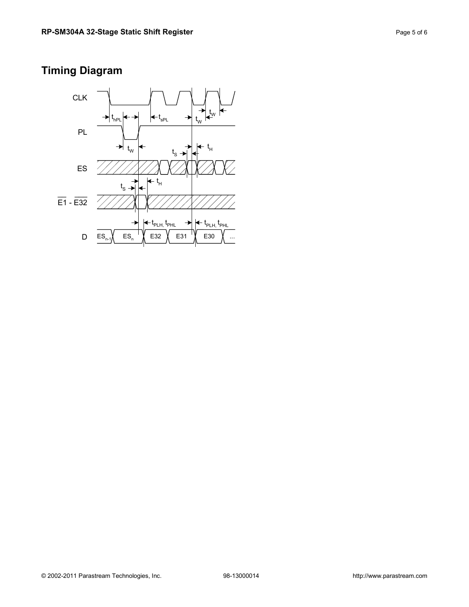## **Timing Diagram**